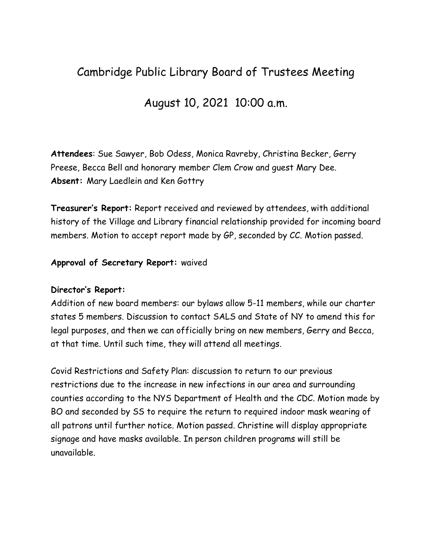## Cambridge Public Library Board of Trustees Meeting

## August 10, 2021 10:00 a.m.

**Attendees**: Sue Sawyer, Bob Odess, Monica Ravreby, Christina Becker, Gerry Preese, Becca Bell and honorary member Clem Crow and guest Mary Dee. **Absent:** Mary Laedlein and Ken Gottry

**Treasurer's Report:** Report received and reviewed by attendees, with additional history of the Village and Library financial relationship provided for incoming board members. Motion to accept report made by GP, seconded by CC. Motion passed.

## **Approval of Secretary Report:** waived

## **Director's Report:**

Addition of new board members: our bylaws allow 5-11 members, while our charter states 5 members. Discussion to contact SALS and State of NY to amend this for legal purposes, and then we can officially bring on new members, Gerry and Becca, at that time. Until such time, they will attend all meetings.

Covid Restrictions and Safety Plan: discussion to return to our previous restrictions due to the increase in new infections in our area and surrounding counties according to the NYS Department of Health and the CDC. Motion made by BO and seconded by SS to require the return to required indoor mask wearing of all patrons until further notice. Motion passed. Christine will display appropriate signage and have masks available. In person children programs will still be unavailable.